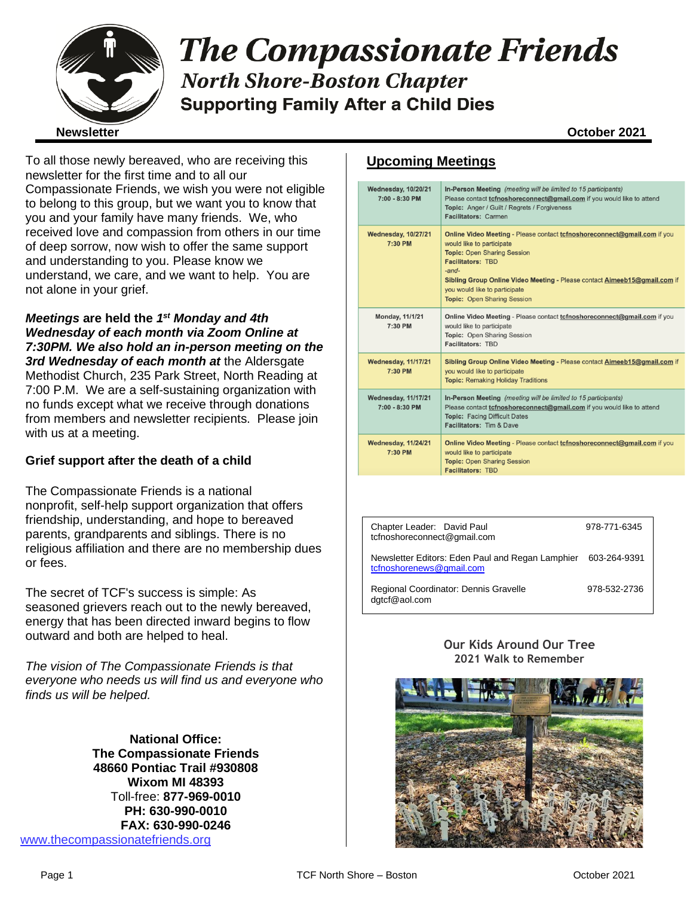

# **The Compassionate Friends North Shore-Boston Chapter Supporting Family After a Child Dies**

To all those newly bereaved, who are receiving this newsletter for the first time and to all our Compassionate Friends, we wish you were not eligible to belong to this group, but we want you to know that you and your family have many friends. We, who received love and compassion from others in our time of deep sorrow, now wish to offer the same support and understanding to you. Please know we understand, we care, and we want to help. You are not alone in your grief.

*Meetings* **are held the** *1 st Monday and 4th Wednesday of each month via Zoom Online at 7:30PM. We also hold an in-person meeting on the 3rd Wednesday of each month at* the Aldersgate Methodist Church, 235 Park Street, North Reading at 7:00 P.M. We are a self-sustaining organization with no funds except what we receive through donations from members and newsletter recipients. Please join with us at a meeting.

#### **Grief support after the death of a child**

The Compassionate Friends is a national nonprofit, self-help support organization that offers friendship, understanding, and hope to bereaved parents, grandparents and siblings. There is no religious affiliation and there are no membership dues or fees.

The secret of TCF's success is simple: As seasoned grievers reach out to the newly bereaved, energy that has been directed inward begins to flow outward and both are helped to heal.

*The vision of The Compassionate Friends is that everyone who needs us will find us and everyone who finds us will be helped.*

**National Office: The Compassionate Friends 48660 Pontiac Trail #930808 Wixom MI 48393** Toll-free: **877-969-0010 PH: 630-990-0010 FAX: 630-990-0246** [www.thecompassionatefriends.org](http://www.thecompassionatefriends.org/)

### **Upcoming Meetings**

| <b>Wednesday, 10/20/21</b><br>7:00 - 8:30 PM   | In-Person Meeting (meeting will be limited to 15 participants)<br>Please contact tcfnoshoreconnect@gmail.com if you would like to attend<br>Topic: Anger / Guilt / Regrets / Forgiveness<br>Facilitators: Carmen                                                                                                                             |
|------------------------------------------------|----------------------------------------------------------------------------------------------------------------------------------------------------------------------------------------------------------------------------------------------------------------------------------------------------------------------------------------------|
| <b>Wednesday, 10/27/21</b><br>7:30 PM          | Online Video Meeting - Please contact to fnoshore connect@gmail.com if you<br>would like to participate<br><b>Topic: Open Sharing Session</b><br><b>Facilitators: TBD</b><br>$-$ and $-$<br>Sibling Group Online Video Meeting - Please contact Aimeeb15@gmail.com if<br>you would like to participate<br><b>Topic: Open Sharing Session</b> |
| <b>Monday, 11/1/21</b><br>7:30 PM              | Online Video Meeting - Please contact to fnoshore connect@gmail.com if you<br>would like to participate<br>Topic: Open Sharing Session<br><b>Facilitators: TBD</b>                                                                                                                                                                           |
| <b>Wednesday, 11/17/21</b><br>7:30 PM          | Sibling Group Online Video Meeting - Please contact Aimeeb15@gmail.com if<br>you would like to participate<br><b>Topic: Remaking Holiday Traditions</b>                                                                                                                                                                                      |
| <b>Wednesday, 11/17/21</b><br>$7:00 - 8:30$ PM | In-Person Meeting (meeting will be limited to 15 participants)<br>Please contact <i>tcfnoshoreconnect@gmail.com</i> if you would like to attend<br><b>Topic: Facing Difficult Dates</b><br>Facilitators: Tim & Dave                                                                                                                          |
| <b>Wednesday, 11/24/21</b><br>7:30 PM          | Online Video Meeting - Please contact to fnoshore connect@gmail.com if you<br>would like to participate<br><b>Topic: Open Sharing Session</b><br><b>Facilitators: TBD</b>                                                                                                                                                                    |

| Chapter Leader: David Paul<br>tcfnoshoreconnect@gmail.com                    | 978-771-6345 |
|------------------------------------------------------------------------------|--------------|
| Newsletter Editors: Eden Paul and Regan Lamphier<br>tcfnoshorenews@gmail.com | 603-264-9391 |
| Regional Coordinator: Dennis Gravelle<br>dqtcf@aol.com                       | 978-532-2736 |

#### **Our Kids Around Our Tree 2021 Walk to Remember**

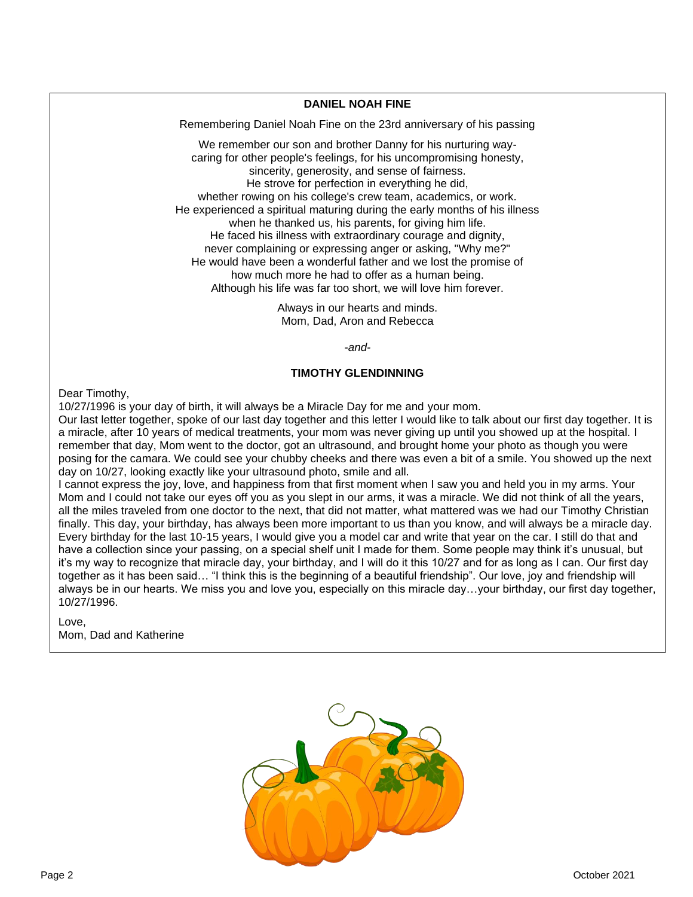#### **DANIEL NOAH FINE**

**Remembering Daniel Noah Fine on the 23rd anniversary of his passing<br>
Me remember our sep and brother Danny for his purturing upy.** 

We remember our son and brother Danny for his nurturing waycaring for other people's feelings, for his uncompromising honesty, sincerity, generosity, and sense of fairness. He strove for perfection in everything he did, whether rowing on his college's crew team, academics, or work. He experienced a spiritual maturing during the early months of his illness when he thanked us, his parents, for giving him life. He faced his illness with extraordinary courage and dignity, never complaining or expressing anger or asking, "Why me?" He would have been a wonderful father and we lost the promise of how much more he had to offer as a human being. Although his life was far too short, we will love him forever.

> Always in our hearts and minds. Mom, Dad, Aron and Rebecca

> > *-and-*

#### **TIMOTHY GLENDINNING**

Dear Timothy,

10/27/1996 is your day of birth, it will always be a Miracle Day for me and your mom.

Our last letter together, spoke of our last day together and this letter I would like to talk about our first day together. It is a miracle, after 10 years of medical treatments, your mom was never giving up until you showed up at the hospital. I remember that day, Mom went to the doctor, got an ultrasound, and brought home your photo as though you were posing for the camara. We could see your chubby cheeks and there was even a bit of a smile. You showed up the next day on 10/27, looking exactly like your ultrasound photo, smile and all.

I cannot express the joy, love, and happiness from that first moment when I saw you and held you in my arms. Your Mom and I could not take our eyes off you as you slept in our arms, it was a miracle. We did not think of all the years, all the miles traveled from one doctor to the next, that did not matter, what mattered was we had our Timothy Christian finally. This day, your birthday, has always been more important to us than you know, and will always be a miracle day. Every birthday for the last 10-15 years, I would give you a model car and write that year on the car. I still do that and have a collection since your passing, on a special shelf unit I made for them. Some people may think it's unusual, but it's my way to recognize that miracle day, your birthday, and I will do it this 10/27 and for as long as I can. Our first day together as it has been said… "I think this is the beginning of a beautiful friendship". Our love, joy and friendship will always be in our hearts. We miss you and love you, especially on this miracle day…your birthday, our first day together, 10/27/1996.

Love, Mom, Dad and Katherine

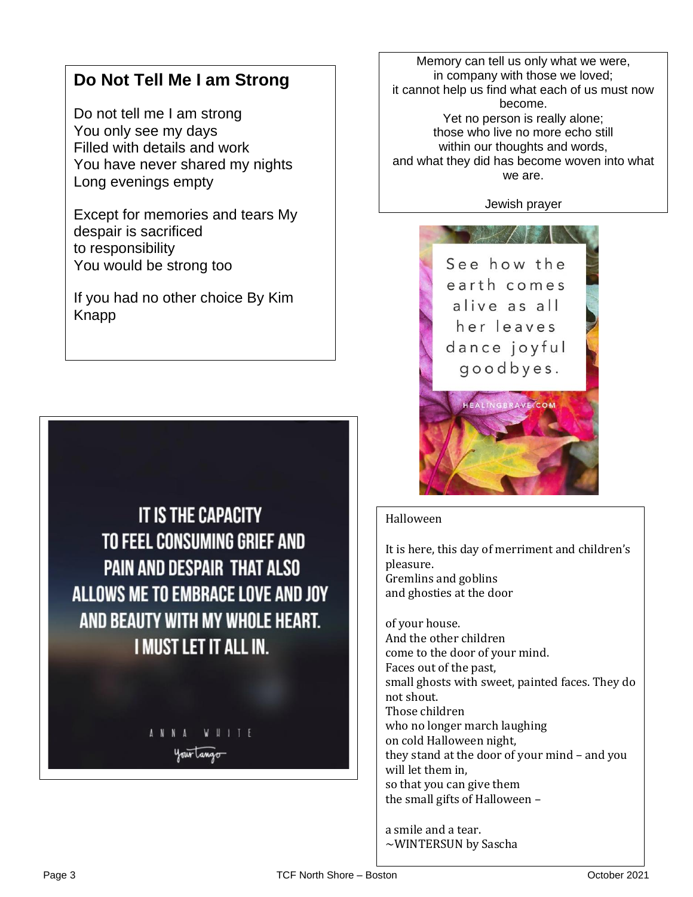## **Do Not Tell Me I am Strong**

 You have never shared my nights  Do not tell me I am strong You only see my days Filled with details and work Long evenings empty

 Except for memories and tears My<br>despair is sacrificed despair is sacrificed to responsibility You would be strong too

 If you had no other choice By Kim Knapp



Memory can tell us only what we were, in company with those we loved; it cannot help us find what each of us must now become. Yet no person is really alone; those who live no more echo still within our thoughts and words, and what they did has become woven into what we are.

Jewish prayer



#### Halloween

It is here, this day of merriment and children's pleasure. Gremlins and goblins and ghosties at the door

of your house. And the other children come to the door of your mind. Faces out of the past, small ghosts with sweet, painted faces. They do not shout. Those children who no longer march laughing on cold Halloween night, they stand at the door of your mind – and you will let them in, so that you can give them the small gifts of Halloween –

a smile and a tear. ~WINTERSUN by Sascha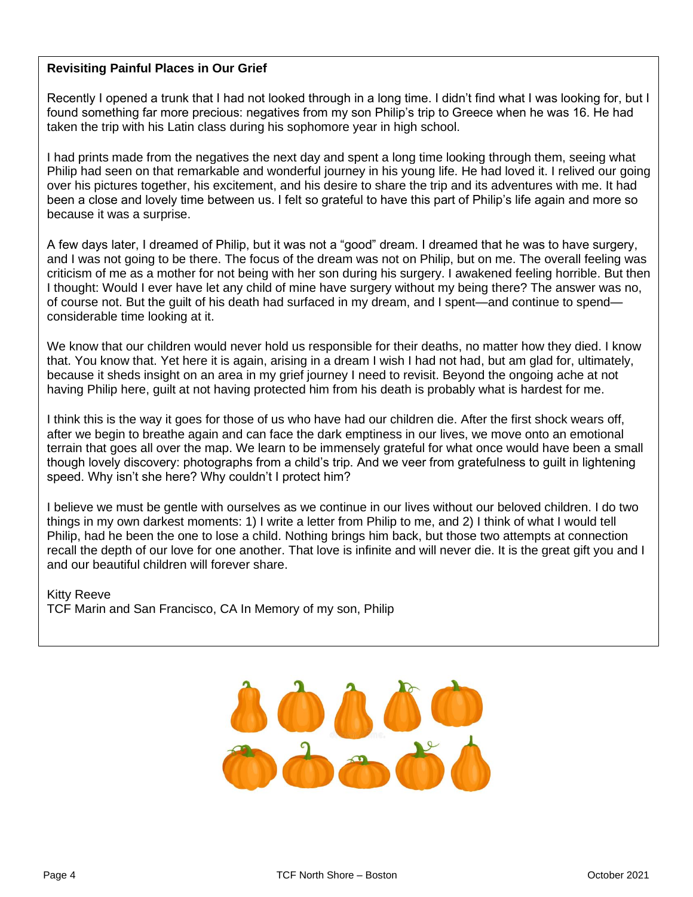### **Revisiting Painful Places in Our Grief**

 Recently I opened a trunk that I had not looked through in a long time. I didn't find what I was looking for, but I  found something far more precious: negatives from my son Philip's trip to Greece when he was 16. He had  taken the trip with his Latin class during his sophomore year in high school.

I had prints made from the negatives the next day and spent a long time looking through them, seeing what Philip nad seen on that remarkable and wonderful journey in his young life. He had loved it. I relived our goir<br>over his pictures together, his excitement, and his desire to share the trip and its adventures with me. It ha been a close and lovely time between us. I felt so grateful to have this part of Philip's life again and more so<br>hassessed twee a symptos Philip had seen on that remarkable and wonderful journey in his young life. He had loved it. I relived our going because it was a surprise.

A few days later, I dreamed of Philip, but it was not a "good" dream. I dreamed that he was to have surgery, **A**<br>and Luga not gaing to be there. The focus of the dream was not an Philip, but an me. The overall feeling we and I was not going to be there. The locas of the dream was not on I hilp, but on the The overall leeling was<br>criticism of me as a mother for not being with her son during his surgery. I awakened feeling horrible. But then I thought: Would I ever have let any child of mine have surgery without my being there? The answer was no,<br>of course not. But the quilt of his death had surfaced in my dream, and I spent—and continue to spend and I was not going to be there. The focus of the dream was not on Philip, but on me. The overall feeling was of course not. But the guilt of his death had surfaced in my dream, and I spent—and continue to spend considerable time looking at it.

 We know that our children would never hold us responsible for their deaths, no matter how they died. I know that. You know that. Yet here it is again, arising in a dream I wish I had not had, but am glad for, ultimately,<br>. because it sheus insight on an area in my gner journey i need to revisit. Beyond the ongoing ache at n<br>having Philip here, guilt at not having protected him from his death is probably what is hardest for me. because it sheds insight on an area in my grief journey I need to revisit. Beyond the ongoing ache at not

I think this is the way it goes for those of us who have had our children die. After the first shock wears off, Full in this is the way it goes for those or as who have had our emidient die. After the first shock wears on,<br>after we begin to breathe again and can face the dark emptiness in our lives, we move onto an emotional terrain that goes all over the map. We learn to be immensely grateful for what once would have been a small<br>though lovely discovery: photographs from a child's trip. And we veer from gratefulness to quilt in lightening  speed. Why isn't she here? Why couldn't I protect him? though lovely discovery: photographs from a child's trip. And we veer from gratefulness to guilt in lightening

things in my own darkest moments: 1) I write a letter from Philip to me, and 2) I think of what I would tell Prillip, had he been the one to lose a child. Nothing brings him back, but those two attempts at connection<br>recall the depth of our love for one another. That love is infinite and will never die. It is the great gift you a  and our beautiful children will forever share. I believe we must be gentle with ourselves as we continue in our lives without our beloved children. I do two Philip, had he been the one to lose a child. Nothing brings him back, but those two attempts at connection

 TCF Marin and San Francisco, CA In Memory of my son, Philip Kitty Reeve

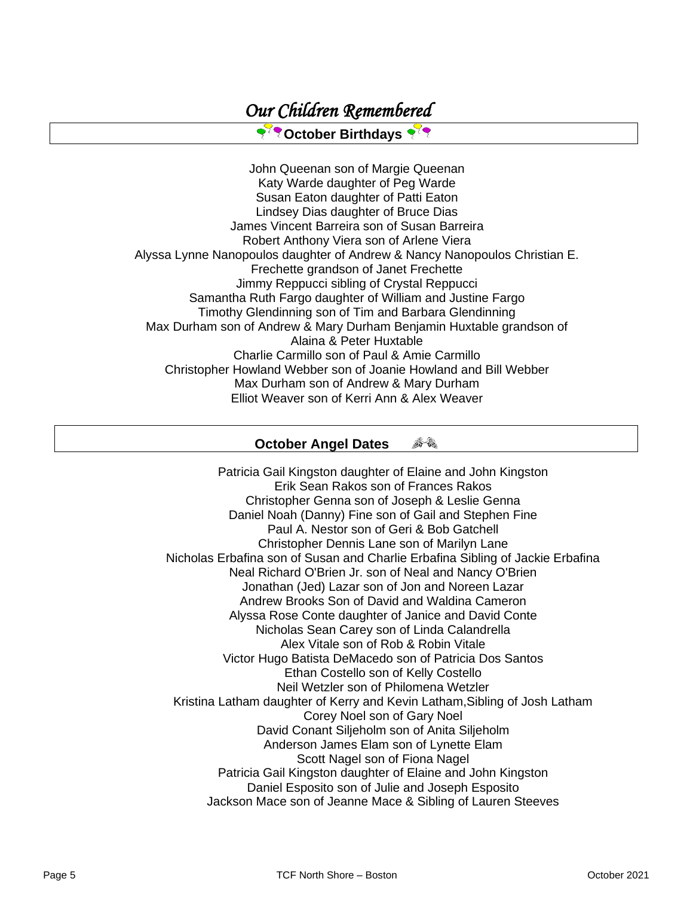### **PROctober Birthdays**

John Queenan son of Margie Queenan Katy Warde daughter of Peg Warde Susan Eaton daughter of Patti Eaton Lindsey Dias daughter of Bruce Dias James Vincent Barreira son of Susan Barreira Robert Anthony Viera son of Arlene Viera Alyssa Lynne Nanopoulos daughter of Andrew & Nancy Nanopoulos Christian E. Frechette grandson of Janet Frechette Jimmy Reppucci sibling of Crystal Reppucci Samantha Ruth Fargo daughter of William and Justine Fargo Timothy Glendinning son of Tim and Barbara Glendinning Max Durham son of Andrew & Mary Durham Benjamin Huxtable grandson of Alaina & Peter Huxtable Charlie Carmillo son of Paul & Amie Carmillo Christopher Howland Webber son of Joanie Howland and Bill Webber Max Durham son of Andrew & Mary Durham Elliot Weaver son of Kerri Ann & Alex Weaver

#### 身象 **October Angel Dates**

Patricia Gail Kingston daughter of Elaine and John Kingston Erik Sean Rakos son of Frances Rakos Christopher Genna son of Joseph & Leslie Genna Daniel Noah (Danny) Fine son of Gail and Stephen Fine Paul A. Nestor son of Geri & Bob Gatchell Christopher Dennis Lane son of Marilyn Lane Nicholas Erbafina son of Susan and Charlie Erbafina Sibling of Jackie Erbafina Neal Richard O'Brien Jr. son of Neal and Nancy O'Brien Jonathan (Jed) Lazar son of Jon and Noreen Lazar Andrew Brooks Son of David and Waldina Cameron Alyssa Rose Conte daughter of Janice and David Conte Nicholas Sean Carey son of Linda Calandrella Alex Vitale son of Rob & Robin Vitale Victor Hugo Batista DeMacedo son of Patricia Dos Santos Ethan Costello son of Kelly Costello Neil Wetzler son of Philomena Wetzler Kristina Latham daughter of Kerry and Kevin Latham,Sibling of Josh Latham Corey Noel son of Gary Noel David Conant Siljeholm son of Anita Siljeholm Anderson James Elam son of Lynette Elam Scott Nagel son of Fiona Nagel Patricia Gail Kingston daughter of Elaine and John Kingston Daniel Esposito son of Julie and Joseph Esposito Jackson Mace son of Jeanne Mace & Sibling of Lauren Steeves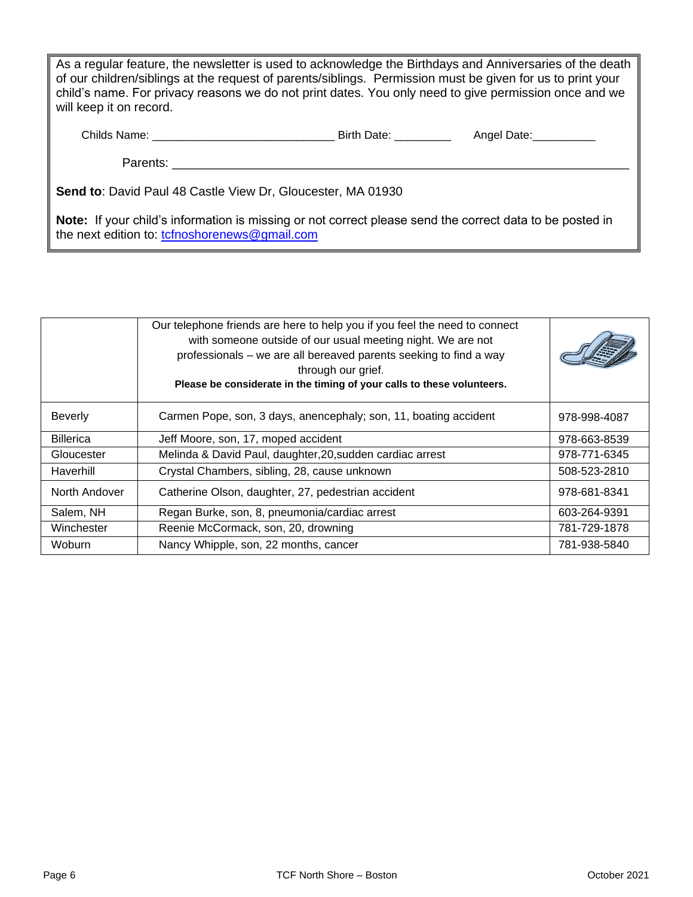As a regular feature, the newsletter is used to acknowledge the Birthdays and Anniversaries of the death of our children/siblings at the request of parents/siblings. Permission must be given for us to print your child's name. For privacy reasons we do not print dates. You only need to give permission once and we will keep it on record.

| Childs Name: | <b>Birth Date:</b> | Anael I<br>Date |
|--------------|--------------------|-----------------|
|              |                    |                 |

Parents: **Example 20** 

**Send to**: David Paul 48 Castle View Dr, Gloucester, MA 01930

**Note:** If your child's information is missing or not correct please send the correct data to be posted in the next edition to: [tcfnoshorenews@gmail.com](mailto:tcfnoshorenews@gmail.com)

|                  | Our telephone friends are here to help you if you feel the need to connect<br>with someone outside of our usual meeting night. We are not<br>professionals - we are all bereaved parents seeking to find a way<br>through our grief.<br>Please be considerate in the timing of your calls to these volunteers. |              |
|------------------|----------------------------------------------------------------------------------------------------------------------------------------------------------------------------------------------------------------------------------------------------------------------------------------------------------------|--------------|
| <b>Beverly</b>   | Carmen Pope, son, 3 days, anencephaly; son, 11, boating accident                                                                                                                                                                                                                                               | 978-998-4087 |
| <b>Billerica</b> | Jeff Moore, son, 17, moped accident                                                                                                                                                                                                                                                                            | 978-663-8539 |
| Gloucester       | Melinda & David Paul, daughter, 20, sudden cardiac arrest                                                                                                                                                                                                                                                      | 978-771-6345 |
| Haverhill        | Crystal Chambers, sibling, 28, cause unknown                                                                                                                                                                                                                                                                   | 508-523-2810 |
| North Andover    | Catherine Olson, daughter, 27, pedestrian accident                                                                                                                                                                                                                                                             | 978-681-8341 |
| Salem, NH        | Regan Burke, son, 8, pneumonia/cardiac arrest                                                                                                                                                                                                                                                                  | 603-264-9391 |
| Winchester       | Reenie McCormack, son, 20, drowning                                                                                                                                                                                                                                                                            | 781-729-1878 |
| Woburn           | Nancy Whipple, son, 22 months, cancer                                                                                                                                                                                                                                                                          | 781-938-5840 |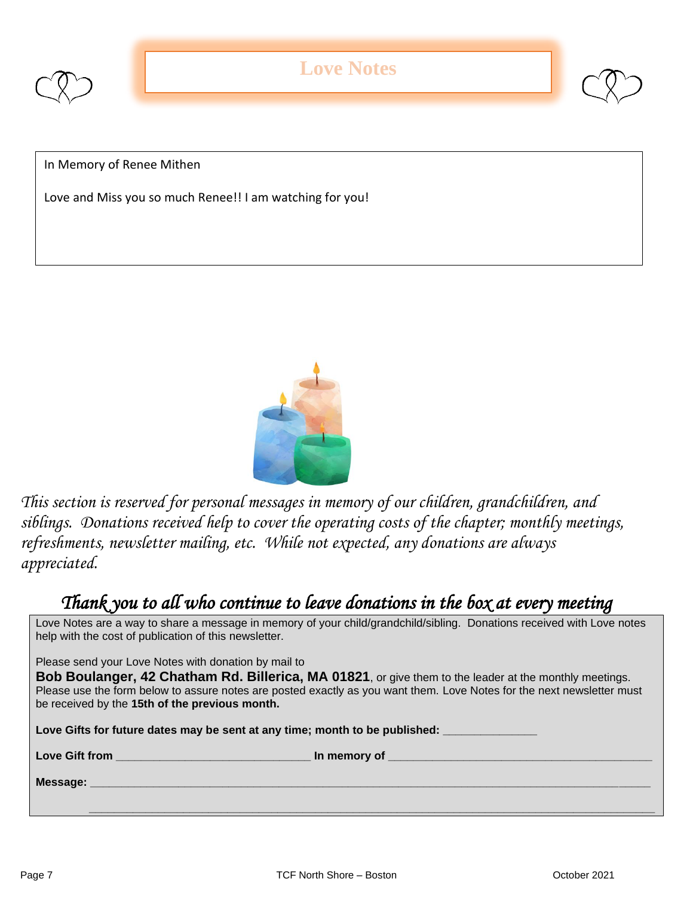



Love and Miss you so much Renee!! I am watching for you!



*This section is reserved for personal messages in memory of our children, grandchildren, and siblings. Donations received help to cover the operating costs of the chapter; monthly meetings, refreshments, newsletter mailing, etc. While not expected, any donations are always appreciated.*

### *Thank you to all who continue to leave donations in the box at every meeting*

Love Notes are a way to share a message in memory of your child/grandchild/sibling. Donations received with Love notes help with the cost of publication of this newsletter.

Please send your Love Notes with donation by mail to

**Bob Boulanger, 42 Chatham Rd. Billerica, MA 01821**, or give them to the leader at the monthly meetings. Please use the form below to assure notes are posted exactly as you want them. Love Notes for the next newsletter must be received by the **15th of the previous month.** 

Love Gifts for future dates may be sent at any time; month to be published:

**Love Gift from the contract of the contract of the contract of the contract of the contract of the contract of the contract of the contract of the contract of the contract of the contract of the contract of the contract o** 

**Message: \_\_\_\_\_\_\_\_\_\_\_\_\_\_\_\_\_\_\_\_\_\_\_\_\_\_\_\_\_\_\_\_\_\_\_\_\_\_\_\_\_\_\_\_\_\_\_\_\_\_\_\_\_\_\_\_\_\_\_\_\_\_\_\_\_\_\_\_\_\_\_\_\_\_\_\_\_\_\_\_\_\_\_\_\_\_\_\_\_**

 **\_\_\_\_\_\_\_\_\_\_\_\_\_\_\_\_\_\_\_\_\_\_\_\_\_\_\_\_\_\_\_\_\_\_\_\_\_\_\_\_\_\_\_\_\_\_\_\_\_\_\_\_\_\_\_\_\_\_\_\_\_\_\_\_\_\_\_\_\_\_\_\_\_\_\_\_\_\_\_\_\_\_\_\_\_\_\_\_\_\_**